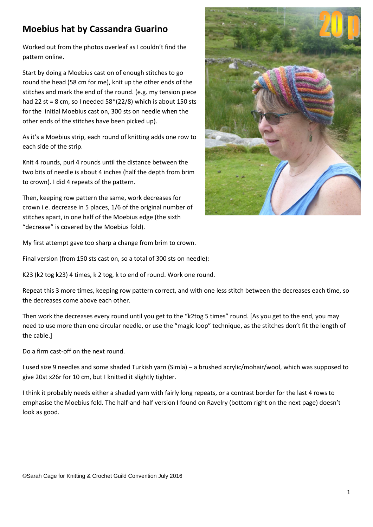## **Moebius hat by Cassandra Guarino**

Worked out from the photos overleaf as I couldn't find the pattern online.

Start by doing a Moebius cast on of enough stitches to go round the head (58 cm for me), knit up the other ends of the stitches and mark the end of the round. (e.g. my tension piece had 22 st = 8 cm, so I needed  $58*(22/8)$  which is about 150 sts for the initial Moebius cast on, 300 sts on needle when the other ends of the stitches have been picked up).

As it's a Moebius strip, each round of knitting adds one row to each side of the strip.

Knit 4 rounds, purl 4 rounds until the distance between the two bits of needle is about 4 inches (half the depth from brim to crown). I did 4 repeats of the pattern.

Then, keeping row pattern the same, work decreases for crown i.e. decrease in 5 places, 1/6 of the original number of stitches apart, in one half of the Moebius edge (the sixth "decrease" is covered by the Moebius fold).



My first attempt gave too sharp a change from brim to crown.

Final version (from 150 sts cast on, so a total of 300 sts on needle):

K23 (k2 tog k23) 4 times, k 2 tog, k to end of round. Work one round.

Repeat this 3 more times, keeping row pattern correct, and with one less stitch between the decreases each time, so the decreases come above each other.

Then work the decreases every round until you get to the "k2tog 5 times" round. [As you get to the end, you may need to use more than one circular needle, or use the "magic loop" technique, as the stitches don't fit the length of the cable.]

Do a firm cast-off on the next round.

I used size 9 needles and some shaded Turkish yarn (Simla) – a brushed acrylic/mohair/wool, which was supposed to give 20st x26r for 10 cm, but I knitted it slightly tighter.

I think it probably needs either a shaded yarn with fairly long repeats, or a contrast border for the last 4 rows to emphasise the Moebius fold. The half-and-half version I found on Ravelry (bottom right on the next page) doesn't look as good.